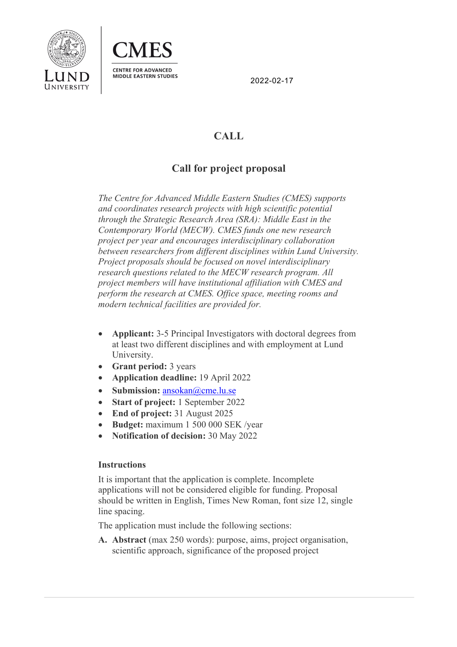



2022-02-17

# **CALL**

## **Call for project proposal**

*The Centre for Advanced Middle Eastern Studies (CMES) supports and coordinates research projects with high scientific potential through the Strategic Research Area (SRA): Middle East in the Contemporary World (MECW). CMES funds one new research project per year and encourages interdisciplinary collaboration between researchers from different disciplines within Lund University. Project proposals should be focused on novel interdisciplinary research questions related to the MECW research program. All project members will have institutional affiliation with CMES and perform the research at CMES. Office space, meeting rooms and modern technical facilities are provided for.* 

- **Applicant:** 3-5 Principal Investigators with doctoral degrees from at least two different disciplines and with employment at Lund University.
- **Grant period:** 3 years
- **Application deadline:** 19 April 2022
- **Submission:** ansokan@cme.lu.se
- **Start of project:** 1 September 2022
- **End of project:** 31 August 2025
- **Budget:** maximum 1 500 000 SEK /year
- **Notification of decision:** 30 May 2022

## **Instructions**

It is important that the application is complete. Incomplete applications will not be considered eligible for funding. Proposal should be written in English, Times New Roman, font size 12, single line spacing.

The application must include the following sections:

**A. Abstract** (max 250 words): purpose, aims, project organisation, scientific approach, significance of the proposed project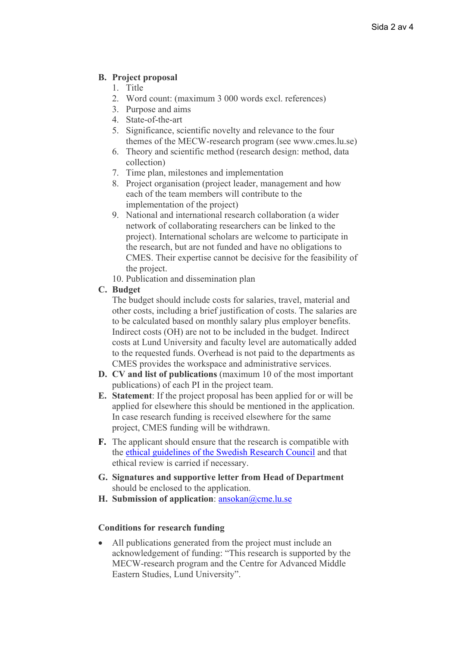## **B. Project proposal**

- 1. Title
- 2. Word count: (maximum 3 000 words excl. references)
- 3. Purpose and aims
- 4. State-of-the-art
- 5. Significance, scientific novelty and relevance to the four themes of the MECW-research program (see www.cmes.lu.se)
- 6. Theory and scientific method (research design: method, data collection)
- 7. Time plan, milestones and implementation
- 8. Project organisation (project leader, management and how each of the team members will contribute to the implementation of the project)
- 9. National and international research collaboration (a wider network of collaborating researchers can be linked to the project). International scholars are welcome to participate in the research, but are not funded and have no obligations to CMES. Their expertise cannot be decisive for the feasibility of the project.
- 10. Publication and dissemination plan

## **C. Budget**

The budget should include costs for salaries, travel, material and other costs, including a brief justification of costs. The salaries are to be calculated based on monthly salary plus employer benefits. Indirect costs (OH) are not to be included in the budget. Indirect costs at Lund University and faculty level are automatically added to the requested funds. Overhead is not paid to the departments as CMES provides the workspace and administrative services.

- **D. CV and list of publications** (maximum 10 of the most important publications) of each PI in the project team.
- **E. Statement**: If the project proposal has been applied for or will be applied for elsewhere this should be mentioned in the application. In case research funding is received elsewhere for the same project, CMES funding will be withdrawn.
- **F.** The applicant should ensure that the research is compatible with the ethical guidelines of the Swedish Research Council and that ethical review is carried if necessary.
- **G. Signatures and supportive letter from Head of Department**  should be enclosed to the application.
- **H. Submission of application**: ansokan@cme.lu.se

## **Conditions for research funding**

All publications generated from the project must include an acknowledgement of funding: "This research is supported by the MECW-research program and the Centre for Advanced Middle Eastern Studies, Lund University".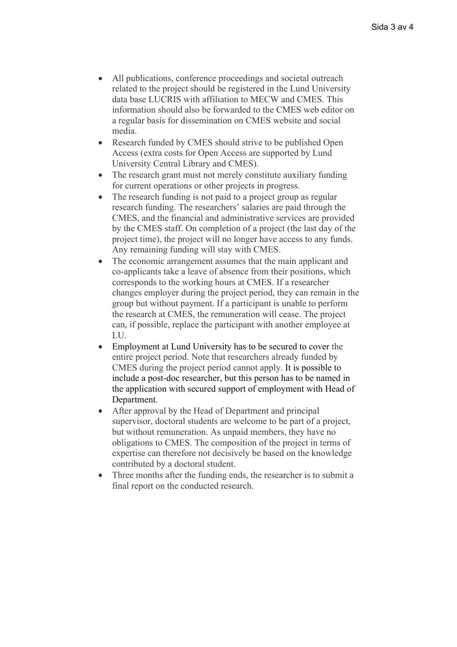- All publications, conference proceedings and societal outreach related to the project should be registered in the Lund University data base LUCRIS with affiliation to MECW and CMES. This information should also be forwarded to the CMES web editor on a regular basis for dissemination on CMES website and social media.
- Research funded by CMES should strive to be published Open Access (extra costs for Open Access are supported by Lund University Central Library and CMES).
- The research grant must not merely constitute auxiliary funding for current operations or other projects in progress.
- The research funding is not paid to a project group as regular research funding. The researchers' salaries are paid through the CMES, and the financial and administrative services are provided by the CMES staff. On completion of a project (the last day of the project time), the project will no longer have access to any funds. Any remaining funding will stay with CMES.
- The economic arrangement assumes that the main applicant and co-applicants take a leave of absence from their positions, which corresponds to the working hours at CMES. If a researcher changes employer during the project period, they can remain in the group but without payment. If a participant is unable to perform the research at CMES, the remuneration will cease. The project can, if possible, replace the participant with another employee at LU.
- Employment at Lund University has to be secured to cover the entire project period. Note that researchers already funded by CMES during the project period cannot apply. It is possible to include a post-doc researcher, but this person has to be named in the application with secured support of employment with Head of Department.
- After approval by the Head of Department and principal supervisor, doctoral students are welcome to be part of a project, but without remuneration. As unpaid members, they have no obligations to CMES. The composition of the project in terms of expertise can therefore not decisively be based on the knowledge contributed by a doctoral student.
- Three months after the funding ends, the researcher is to submit a final report on the conducted research.